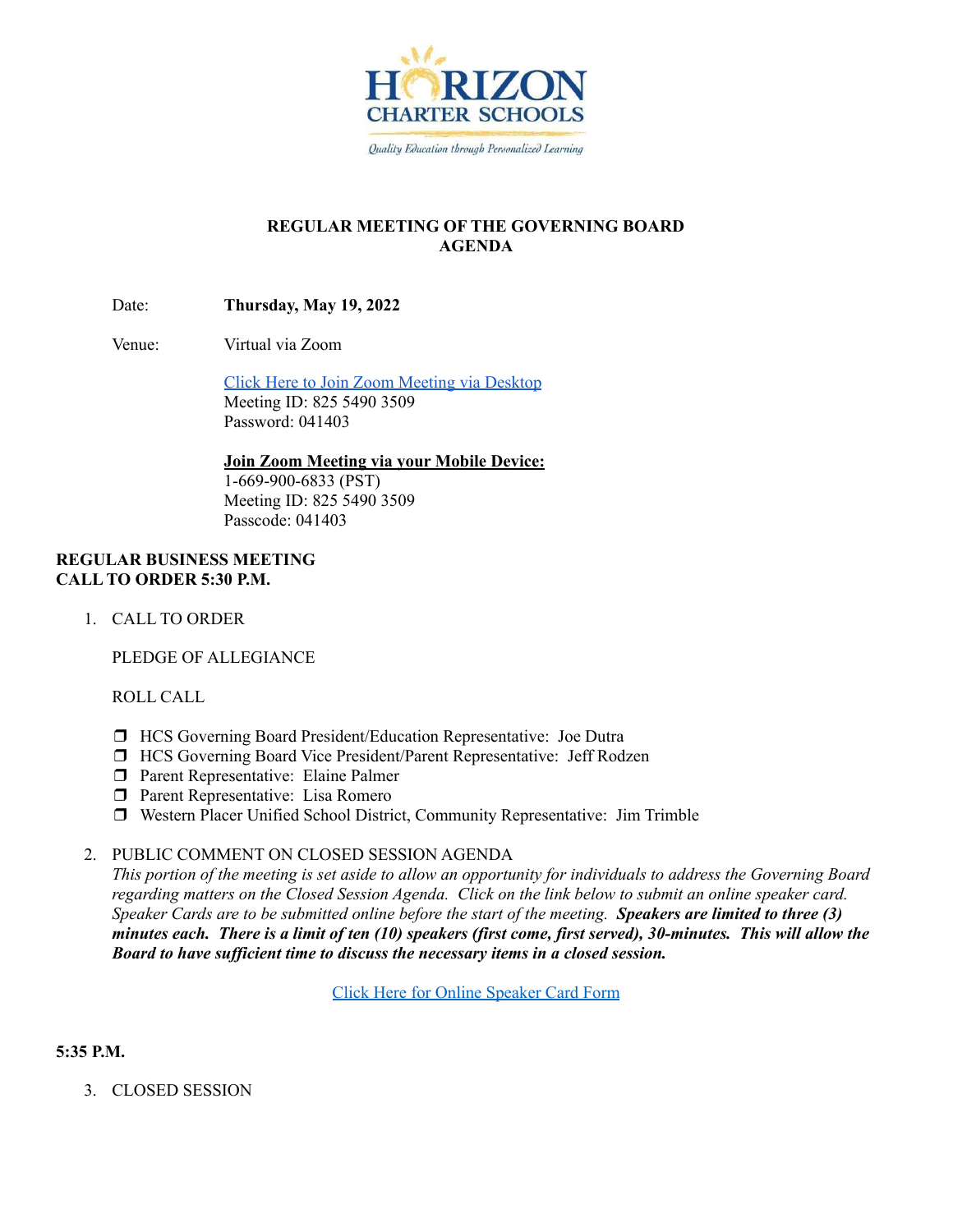

# **REGULAR MEETING OF THE GOVERNING BOARD AGENDA**

Date: **Thursday, May 19, 2022**

Venue: Virtual via Zoom

Click Here to Join Zoom [Meeting](https://hcseagles-org.zoom.us/j/82554903509?pwd=aXZLd0lZdnR4V1JieGM0dFJQSFZWQT09) via Desktop Meeting ID: 825 5490 3509 Password: 041403

**Join Zoom Meeting via your Mobile Device:**

1-669-900-6833 (PST) Meeting ID: 825 5490 3509 Passcode: 041403

### **REGULAR BUSINESS MEETING CALL TO ORDER 5:30 P.M.**

1. CALL TO ORDER

PLEDGE OF ALLEGIANCE

ROLL CALL

- ❒ HCS Governing Board President/Education Representative: Joe Dutra
- ❒ HCS Governing Board Vice President/Parent Representative: Jeff Rodzen
- ❒ Parent Representative: Elaine Palmer
- ❒ Parent Representative: Lisa Romero
- ❒ Western Placer Unified School District, Community Representative: Jim Trimble

### 2. PUBLIC COMMENT ON CLOSED SESSION AGENDA

This portion of the meeting is set aside to allow an opportunity for individuals to address the Governing Board regarding matters on the Closed Session Agenda. Click on the link below to submit an online speaker card. Speaker Cards are to be submitted online before the start of the meeting. Speakers are limited to three  $(3)$ minutes each. There is a limit of ten (10) speakers (first come, first served), 30-minutes. This will allow the *Board to have suf icient time to discuss the necessary items in a closed session.*

Click Here for Online [Speaker](https://forms.gle/1Ad7NmftiSuScxKCA) Card Form

# **5:35 P.M.**

3. CLOSED SESSION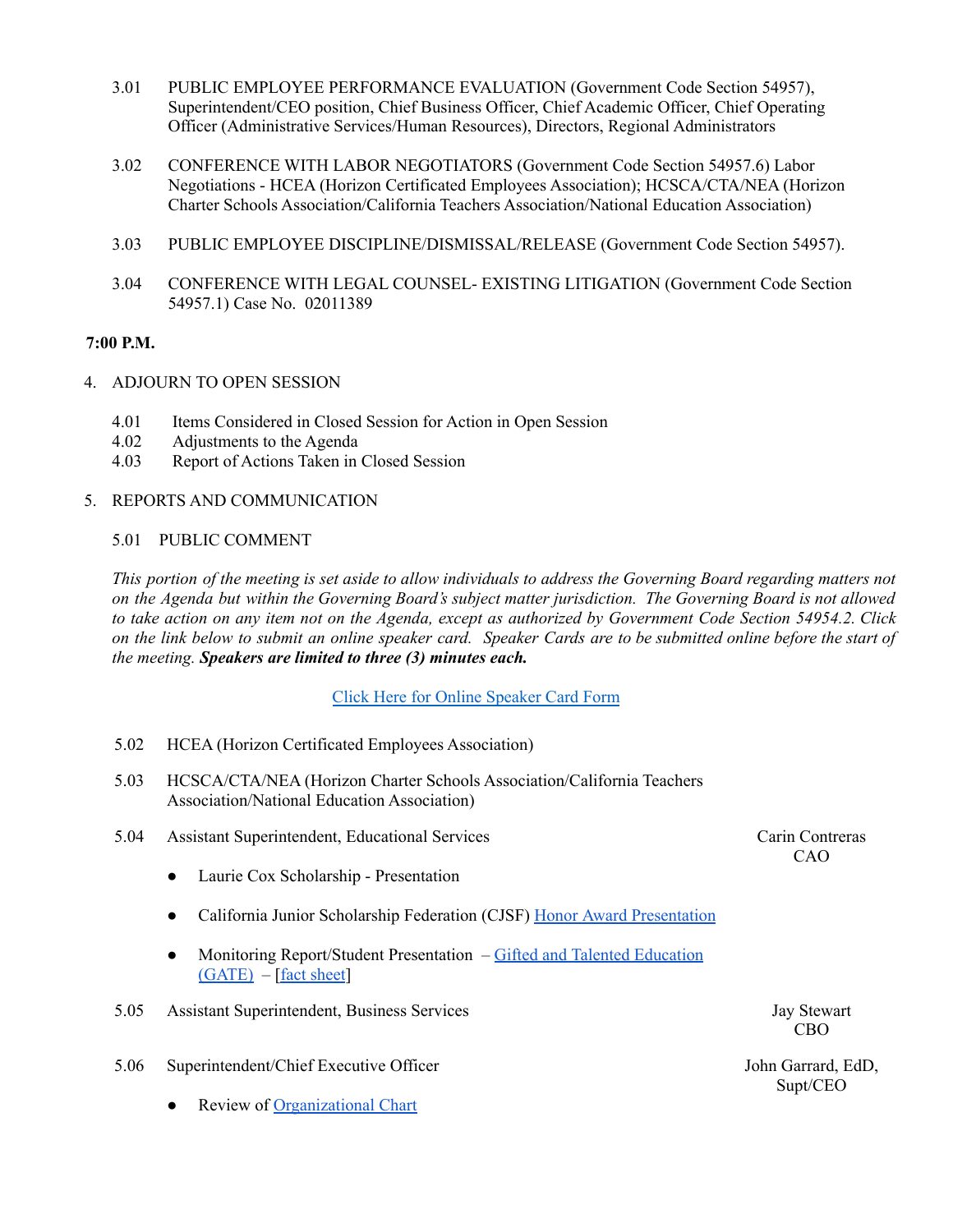- 3.01 PUBLIC EMPLOYEE PERFORMANCE EVALUATION (Government Code Section 54957), Superintendent/CEO position, Chief Business Officer, Chief Academic Officer, Chief Operating Officer (Administrative Services/Human Resources), Directors, Regional Administrators
- 3.02 CONFERENCE WITH LABOR NEGOTIATORS (Government Code Section 54957.6) Labor Negotiations - HCEA (Horizon Certificated Employees Association); HCSCA/CTA/NEA (Horizon Charter Schools Association/California Teachers Association/National Education Association)
- 3.03 PUBLIC EMPLOYEE DISCIPLINE/DISMISSAL/RELEASE (Government Code Section 54957).
- 3.04 CONFERENCE WITH LEGAL COUNSEL- EXISTING LITIGATION (Government Code Section 54957.1) Case No. 02011389

### **7:00 P.M.**

- 4. ADJOURN TO OPEN SESSION
	- 4.01 Items Considered in Closed Session for Action in Open Session
	- 4.02 Adjustments to the Agenda
	- 4.03 Report of Actions Taken in Closed Session
- 5. REPORTS AND COMMUNICATION

#### 5.01 PUBLIC COMMENT

This portion of the meeting is set aside to allow individuals to address the Governing Board regarding matters not on the Agenda but within the Governing Board's subject matter jurisdiction. The Governing Board is not allowed to take action on any item not on the Agenda, except as authorized by Government Code Section 54954.2. Click on the link below to submit an online speaker card. Speaker Cards are to be submitted online before the start of *the meeting. Speakers are limited to three (3) minutes each.*

Click Here for Online [Speaker](https://forms.gle/1Ad7NmftiSuScxKCA) Card Form

- 5.02 HCEA (Horizon Certificated Employees Association)
- 5.03 HCSCA/CTA/NEA (Horizon Charter Schools Association/California Teachers Association/National Education Association)
- 5.04 Assistant Superintendent, Educational Services
	- Laurie Cox Scholarship Presentation
	- California Junior Scholarship Federation (CJSF) Honor Award [Presentation](https://docs.google.com/presentation/d/1l9xsMM0k8CmZbb0mEmiOaW8p2BKfda7CQANCyncHrv8/edit?usp=sharing)
	- Monitoring Report/Student Presentation Gifted and Talented [Education](https://docs.google.com/presentation/d/1CeIFBwtuAvUyyJ1OLWiIjImcosigcJ5QXWdHpW4Eh8I/edit?usp=sharing)  $(GATE) - [fact sheet]$  $(GATE) - [fact sheet]$  $(GATE) - [fact sheet]$  $(GATE) - [fact sheet]$
- 5.05 Assistant Superintendent, Business Services Jay Stewart
- 5.06 Superintendent/Chief Executive Officer
	- **Review of [Organizational](https://docs.google.com/presentation/d/1ETI54ghBHcR-4j-Dc6cvnp606eaj3r2c_Ss2PmDVPq0/edit?usp=sharing) Chart**

Carin Contreras CAO

CBO

John Garrard, EdD, Supt/CEO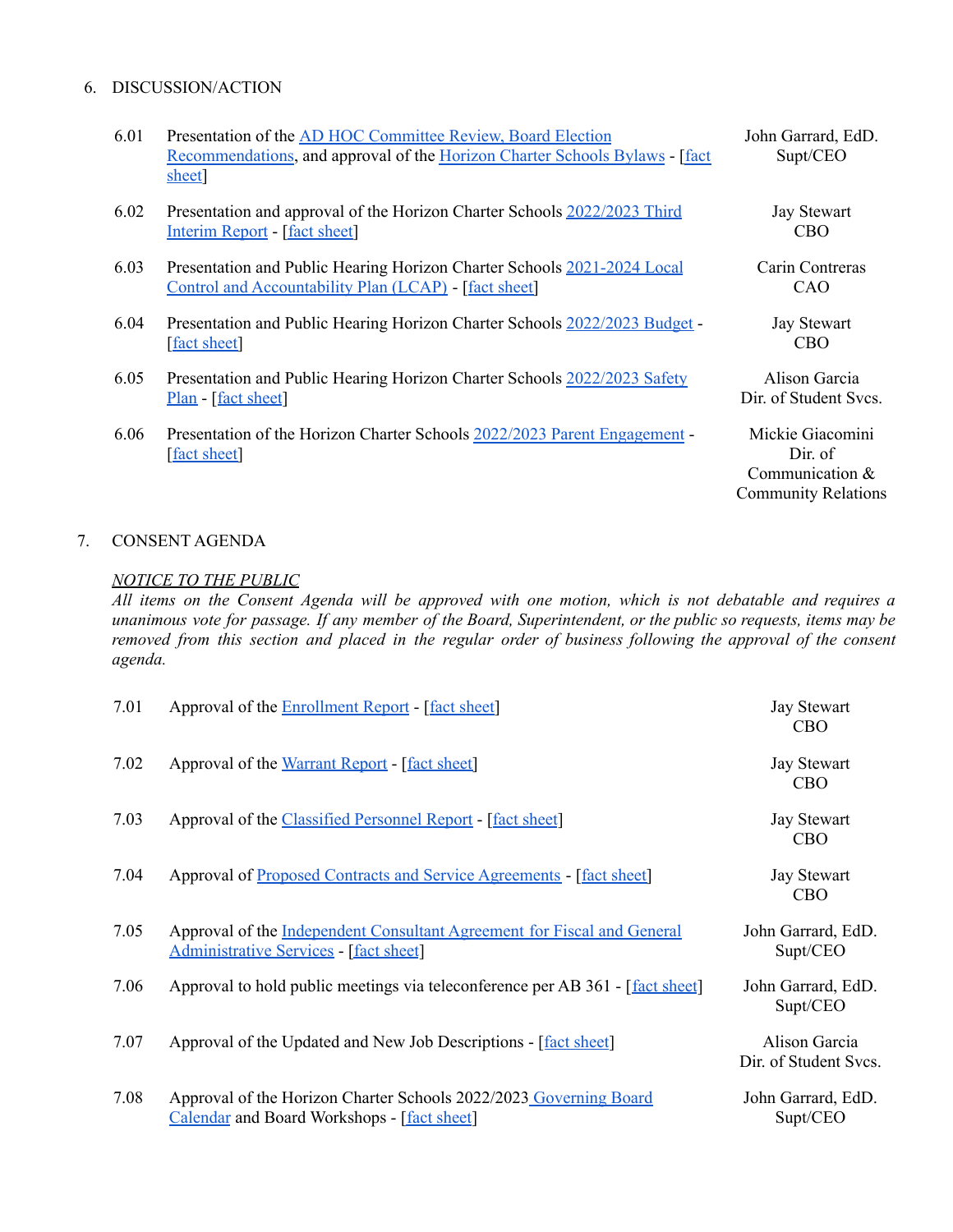#### 6. DISCUSSION/ACTION

| 6.01 | Presentation of the AD HOC Committee Review, Board Election<br>Recommendations, and approval of the Horizon Charter Schools Bylaws - [fact<br>sheet | John Garrard, EdD.<br>Supt/CEO                                                 |
|------|-----------------------------------------------------------------------------------------------------------------------------------------------------|--------------------------------------------------------------------------------|
| 6.02 | Presentation and approval of the Horizon Charter Schools 2022/2023 Third<br>Interim Report - [fact sheet]                                           | <b>Jay Stewart</b><br>CBO <sup>.</sup>                                         |
| 6.03 | Presentation and Public Hearing Horizon Charter Schools 2021-2024 Local<br>Control and Accountability Plan (LCAP) - [fact sheet]                    | Carin Contreras<br>CAO                                                         |
| 6.04 | Presentation and Public Hearing Horizon Charter Schools 2022/2023 Budget -<br>[fact sheet]                                                          | <b>Jay Stewart</b><br><b>CBO</b>                                               |
| 6.05 | Presentation and Public Hearing Horizon Charter Schools 2022/2023 Safety<br>Plan - [fact sheet]                                                     | Alison Garcia<br>Dir. of Student Svcs.                                         |
| 6.06 | Presentation of the Horizon Charter Schools 2022/2023 Parent Engagement -<br>fact sheet                                                             | Mickie Giacomini<br>Dir. of<br>Communication $&$<br><b>Community Relations</b> |

## 7. CONSENT AGENDA

### *NOTICE TO THE PUBLIC*

All items on the Consent Agenda will be approved with one motion, which is not debatable and requires a unanimous vote for passage. If any member of the Board, Superintendent, or the public so requests, items may be removed from this section and placed in the regular order of business following the approval of the consent *agenda.*

| 7.01 | Approval of the Enrollment Report - [fact sheet]                                                                         | <b>Jay Stewart</b><br><b>CBO</b>       |
|------|--------------------------------------------------------------------------------------------------------------------------|----------------------------------------|
| 7.02 | Approval of the Warrant Report - [fact sheet]                                                                            | <b>Jay Stewart</b><br><b>CBO</b>       |
| 7.03 | Approval of the Classified Personnel Report - [fact sheet]                                                               | <b>Jay Stewart</b><br><b>CBO</b>       |
| 7.04 | Approval of Proposed Contracts and Service Agreements - [fact sheet]                                                     | <b>Jay Stewart</b><br><b>CBO</b>       |
| 7.05 | Approval of the Independent Consultant Agreement for Fiscal and General<br><b>Administrative Services - [fact sheet]</b> | John Garrard, EdD.<br>Supt/CEO         |
| 7.06 | Approval to hold public meetings via teleconference per AB 361 - [fact sheet]                                            | John Garrard, EdD.<br>Supt/CEO         |
| 7.07 | Approval of the Updated and New Job Descriptions - [fact sheet]                                                          | Alison Garcia<br>Dir. of Student Svcs. |
| 7.08 | Approval of the Horizon Charter Schools 2022/2023 Governing Board<br><b>Calendar and Board Workshops - [fact sheet]</b>  | John Garrard, EdD.<br>Supt/CEO         |